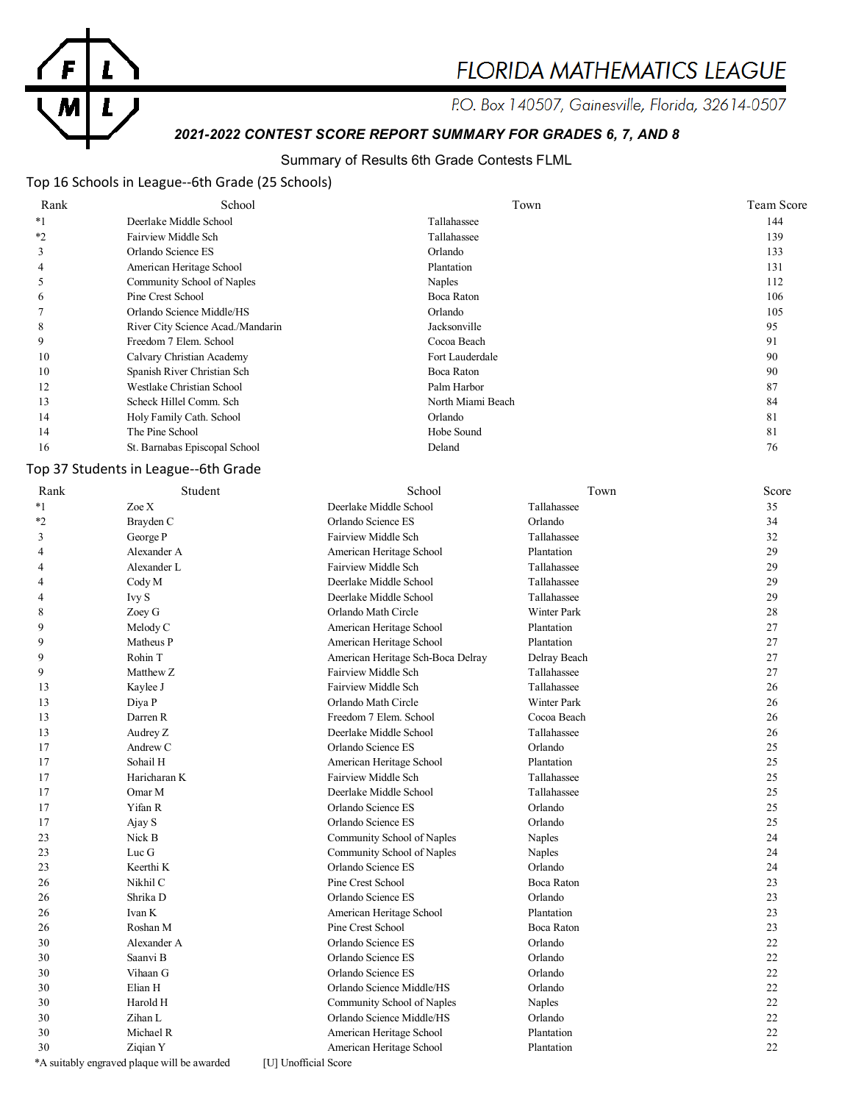

# **FLORIDA MATHEMATICS LEAGUE**

P.O. Box 140507, Gainesville, Florida, 32614-0507

# *2021-2022 CONTEST SCORE REPORT SUMMARY FOR GRADES 6, 7, AND 8*

## Summary of Results 6th Grade Contests FLML

# Top 16 Schools in League--6th Grade (25 Schools)

| Rank | School                            | Town              | Team Score |
|------|-----------------------------------|-------------------|------------|
| $*1$ | Deerlake Middle School            | Tallahassee       | 144        |
| $*2$ | Fairview Middle Sch               | Tallahassee       | 139        |
| 3    | Orlando Science ES                | Orlando           | 133        |
| 4    | American Heritage School          | Plantation        | 131        |
|      | Community School of Naples        | Naples            | 112        |
| 6    | Pine Crest School                 | Boca Raton        | 106        |
|      | Orlando Science Middle/HS         | Orlando           | 105        |
| 8    | River City Science Acad./Mandarin | Jacksonville      | 95         |
| 9    | Freedom 7 Elem. School            | Cocoa Beach       | 91         |
| 10   | Calvary Christian Academy         | Fort Lauderdale   | 90         |
| 10   | Spanish River Christian Sch       | Boca Raton        | 90         |
| 12   | Westlake Christian School         | Palm Harbor       | 87         |
| 13   | Scheck Hillel Comm. Sch           | North Miami Beach | 84         |
| 14   | Holy Family Cath. School          | Orlando           | 81         |
| 14   | The Pine School                   | Hobe Sound        | 81         |
| 16   | St. Barnabas Episcopal School     | Deland            | 76         |

# Top 37 Students in League--6th Grade

| Rank           | Student                                     | School                            | Town               | Score |
|----------------|---------------------------------------------|-----------------------------------|--------------------|-------|
| $*_{1}$        | Zoe X                                       | Deerlake Middle School            | Tallahassee        | 35    |
| $*_{2}$        | Brayden C                                   | Orlando Science ES                | Orlando            | 34    |
| 3              | George P                                    | Fairview Middle Sch               | Tallahassee        | 32    |
| 4              | Alexander A                                 | American Heritage School          | Plantation         | 29    |
| $\overline{4}$ | Alexander L                                 | Fairview Middle Sch               | Tallahassee        | 29    |
| 4              | Cody M                                      | Deerlake Middle School            | Tallahassee        | 29    |
| 4              | Ivy S                                       | Deerlake Middle School            | Tallahassee        | 29    |
| 8              | Zoey G                                      | Orlando Math Circle               | <b>Winter Park</b> | 28    |
| 9              | Melody C                                    | American Heritage School          | Plantation         | 27    |
| 9              | Matheus P                                   | American Heritage School          | Plantation         | 27    |
| 9              | Rohin T                                     | American Heritage Sch-Boca Delray | Delray Beach       | 27    |
| 9              | Matthew Z                                   | Fairview Middle Sch               | Tallahassee        | 27    |
| 13             | Kaylee J                                    | Fairview Middle Sch               | Tallahassee        | 26    |
| 13             | Diya P                                      | Orlando Math Circle               | <b>Winter Park</b> | 26    |
| 13             | Darren R                                    | Freedom 7 Elem. School            | Cocoa Beach        | 26    |
| 13             | Audrey Z                                    | Deerlake Middle School            | Tallahassee        | 26    |
| 17             | Andrew C                                    | Orlando Science ES                | Orlando            | 25    |
| 17             | Sohail H                                    | American Heritage School          | Plantation         | 25    |
| 17             | Haricharan K                                | Fairview Middle Sch               | Tallahassee        | 25    |
| 17             | Omar M                                      | Deerlake Middle School            | Tallahassee        | 25    |
| 17             | Yifan R                                     | Orlando Science ES                | Orlando            | 25    |
| 17             | Ajay S                                      | Orlando Science ES                | Orlando            | 25    |
| 23             | Nick B                                      | Community School of Naples        | Naples             | 24    |
| 23             | Luc $\Gamma$                                | Community School of Naples        | Naples             | 24    |
| 23             | Keerthi K                                   | Orlando Science ES                | Orlando            | 24    |
| 26             | Nikhil C                                    | Pine Crest School                 | <b>Boca Raton</b>  | 23    |
| 26             | Shrika D                                    | Orlando Science ES                | Orlando            | 23    |
| 26             | Ivan K                                      | American Heritage School          | Plantation         | 23    |
| 26             | Roshan M                                    | Pine Crest School                 | <b>Boca Raton</b>  | 23    |
| 30             | Alexander A                                 | Orlando Science ES                | Orlando            | 22    |
| 30             | Saanvi B                                    | Orlando Science ES                | Orlando            | 22    |
| 30             | Vihaan G                                    | Orlando Science ES                | Orlando            | 22    |
| 30             | Elian H                                     | Orlando Science Middle/HS         | Orlando            | 22    |
| 30             | Harold H                                    | Community School of Naples        | Naples             | 22    |
| 30             | Zihan L                                     | Orlando Science Middle/HS         | Orlando            | 22    |
| 30             | Michael R                                   | American Heritage School          | Plantation         | 22    |
| 30             | Ziqian Y                                    | American Heritage School          | Plantation         | 22    |
|                | *A suitably engraved plaque will be awarded | [U] Unofficial Score              |                    |       |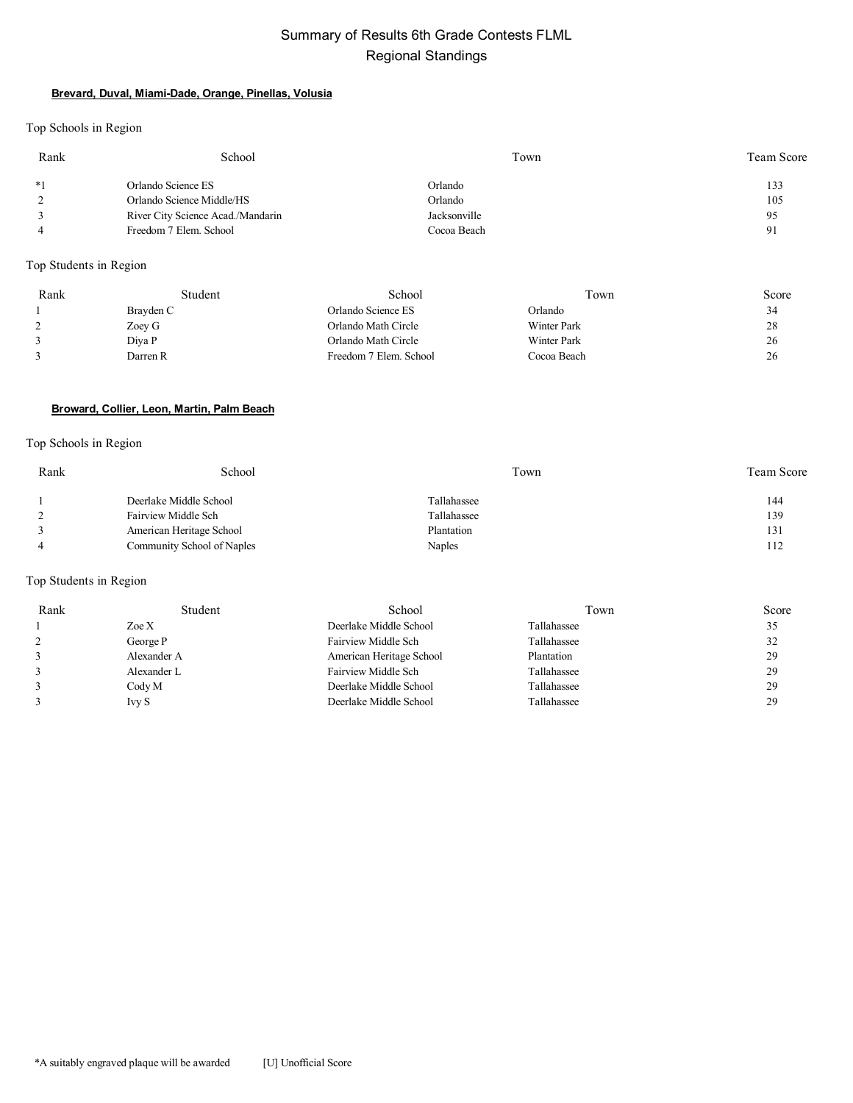# Summary of Results 6th Grade Contests FLML Regional Standings

#### **Brevard, Duval, Miami-Dade, Orange, Pinellas, Volusia**

Top Schools in Region

| Rank | School                            | Town         | Team Score |
|------|-----------------------------------|--------------|------------|
| $*1$ | Orlando Science ES                | Orlando      | 133        |
|      | Orlando Science Middle/HS         | Orlando      | 105        |
|      | River City Science Acad./Mandarin | Jacksonville | 95         |
|      | Freedom 7 Elem. School            | Cocoa Beach  | 91         |

Top Students in Region

| Rank | Student   | School                 | Town               | Score |
|------|-----------|------------------------|--------------------|-------|
|      | Brayden C | Orlando Science ES     | Orlando            | 34    |
|      | Zoey G    | Orlando Math Circle    | <b>Winter Park</b> | 28    |
|      | Diva P    | Orlando Math Circle    | <b>Winter Park</b> | 26    |
|      | Darren R  | Freedom 7 Elem. School | Cocoa Beach        | 26    |

#### **Broward, Collier, Leon, Martin, Palm Beach**

## Top Schools in Region

| Rank | School                     | Town        | <b>Team Score</b> |
|------|----------------------------|-------------|-------------------|
|      | Deerlake Middle School     | Tallahassee | 144               |
|      | Fairview Middle Sch        | Tallahassee | 139               |
|      | American Heritage School   | Plantation  | 131               |
|      | Community School of Naples | Naples      | 112               |

#### Top Students in Region

| Rank | Student         | School                   | Town        | Score |
|------|-----------------|--------------------------|-------------|-------|
|      | Zoe X           | Deerlake Middle School   | Tallahassee | 35    |
|      | George P        | Fairview Middle Sch      | Tallahassee | 32    |
|      | Alexander A     | American Heritage School | Plantation  | 29    |
|      | Alexander L     | Fairview Middle Sch      | Tallahassee | 29    |
|      | $\text{Cody }M$ | Deerlake Middle School   | Tallahassee | 29    |
|      | <b>Ivy S</b>    | Deerlake Middle School   | Tallahassee | 29    |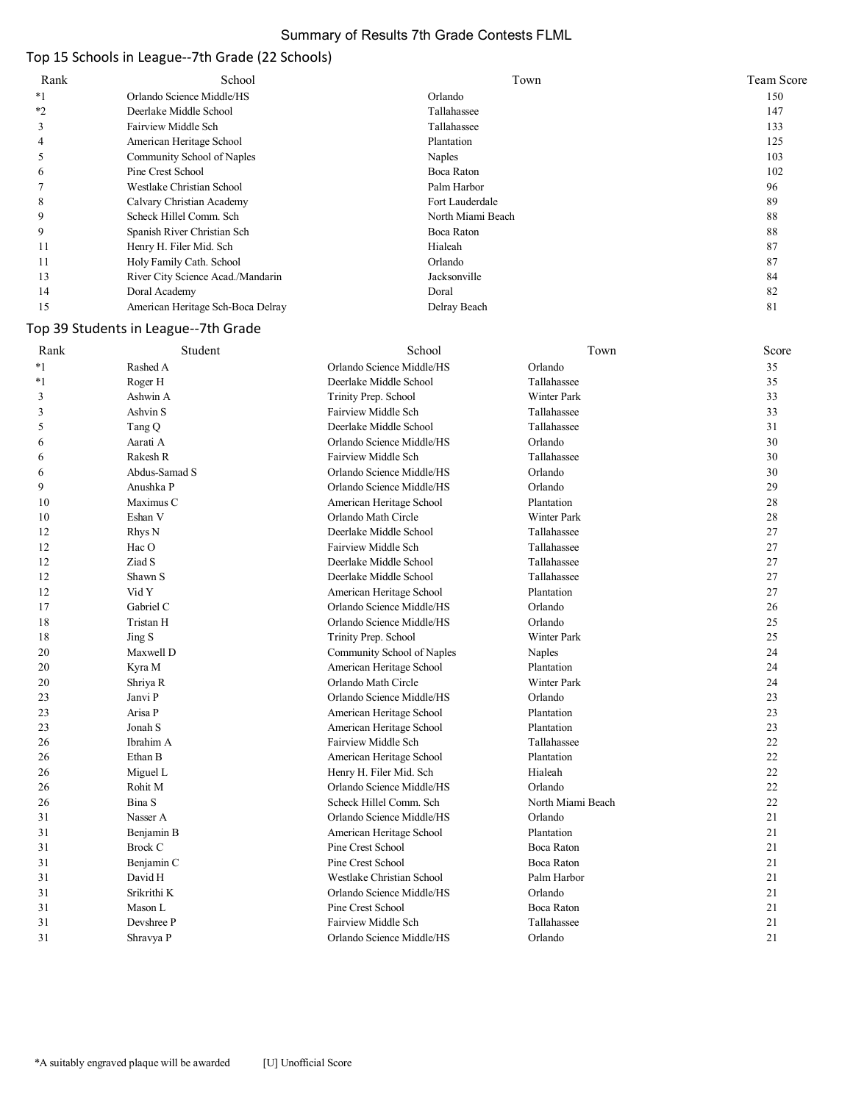## Summary of Results 7th Grade Contests FLML

# Top 15 Schools in League--7th Grade (22 Schools)

| Rank | School                            | Town              | Team Score |
|------|-----------------------------------|-------------------|------------|
| *1   | Orlando Science Middle/HS         | Orlando           | 150        |
| $*2$ | Deerlake Middle School            | Tallahassee       | 147        |
|      | Fairview Middle Sch               | Tallahassee       | 133        |
| 4    | American Heritage School          | Plantation        | 125        |
|      | Community School of Naples        | Naples            | 103        |
| 6    | Pine Crest School                 | Boca Raton        | 102        |
|      | Westlake Christian School         | Palm Harbor       | 96         |
| 8    | Calvary Christian Academy         | Fort Lauderdale   | 89         |
| 9    | Scheck Hillel Comm. Sch           | North Miami Beach | 88         |
| 9    | Spanish River Christian Sch       | Boca Raton        | 88         |
| 11   | Henry H. Filer Mid. Sch           | Hialeah           | 87         |
| 11   | Holy Family Cath. School          | Orlando           | 87         |
| 13   | River City Science Acad./Mandarin | Jacksonville      | 84         |
| 14   | Doral Academy                     | Doral             | 82         |
| 15   | American Heritage Sch-Boca Delray | Delray Beach      | 81         |

# Top 39 Students in League--7th Grade

| Rank | Student        | School                     | Town               | Score |
|------|----------------|----------------------------|--------------------|-------|
| $*1$ | Rashed A       | Orlando Science Middle/HS  | Orlando            | 35    |
| $*1$ | Roger H        | Deerlake Middle School     | Tallahassee        | 35    |
| 3    | Ashwin A       | Trinity Prep. School       | <b>Winter Park</b> | 33    |
| 3    | Ashvin S       | Fairview Middle Sch        | Tallahassee        | 33    |
| 5    | Tang Q         | Deerlake Middle School     | Tallahassee        | 31    |
| 6    | Aarati A       | Orlando Science Middle/HS  | Orlando            | 30    |
| 6    | Rakesh R       | Fairview Middle Sch        | Tallahassee        | 30    |
| 6    | Abdus-Samad S  | Orlando Science Middle/HS  | Orlando            | 30    |
| 9    | Anushka P      | Orlando Science Middle/HS  | Orlando            | 29    |
| 10   | Maximus C      | American Heritage School   | Plantation         | 28    |
| 10   | Eshan V        | Orlando Math Circle        | <b>Winter Park</b> | 28    |
| 12   | Rhys N         | Deerlake Middle School     | Tallahassee        | 27    |
| 12   | Hac O          | <b>Fairview Middle Sch</b> | Tallahassee        | 27    |
| 12   | Ziad S         | Deerlake Middle School     | Tallahassee        | 27    |
| 12   | Shawn S        | Deerlake Middle School     | Tallahassee        | 27    |
| 12   | Vid Y          | American Heritage School   | Plantation         | 27    |
| 17   | Gabriel C      | Orlando Science Middle/HS  | Orlando            | 26    |
| 18   | Tristan H      | Orlando Science Middle/HS  | Orlando            | 25    |
| 18   | Jing S         | Trinity Prep. School       | <b>Winter Park</b> | 25    |
| 20   | Maxwell D      | Community School of Naples | Naples             | 24    |
| 20   | Kyra M         | American Heritage School   | Plantation         | 24    |
| 20   | Shriya R       | Orlando Math Circle        | Winter Park        | 24    |
| 23   | Janvi P        | Orlando Science Middle/HS  | Orlando            | 23    |
| 23   | Arisa P        | American Heritage School   | Plantation         | 23    |
| 23   | Jonah S        | American Heritage School   | Plantation         | 23    |
| 26   | Ibrahim A      | <b>Fairview Middle Sch</b> | Tallahassee        | 22    |
| 26   | Ethan B        | American Heritage School   | Plantation         | 22    |
| 26   | Miguel L       | Henry H. Filer Mid. Sch    | Hialeah            | 22    |
| 26   | Rohit M        | Orlando Science Middle/HS  | Orlando            | 22    |
| 26   | Bina S         | Scheck Hillel Comm. Sch    | North Miami Beach  | 22    |
| 31   | Nasser A       | Orlando Science Middle/HS  | Orlando            | 21    |
| 31   | Benjamin B     | American Heritage School   | Plantation         | 21    |
| 31   | <b>Brock C</b> | Pine Crest School          | <b>Boca Raton</b>  | 21    |
| 31   | Benjamin C     | Pine Crest School          | Boca Raton         | 21    |
| 31   | David H        | Westlake Christian School  | Palm Harbor        | 21    |
| 31   | Srikrithi K    | Orlando Science Middle/HS  | Orlando            | 21    |
| 31   | Mason L        | Pine Crest School          | Boca Raton         | 21    |
| 31   | Devshree P     | <b>Fairview Middle Sch</b> | Tallahassee        | 21    |
| 31   | Shravya P      | Orlando Science Middle/HS  | Orlando            | 21    |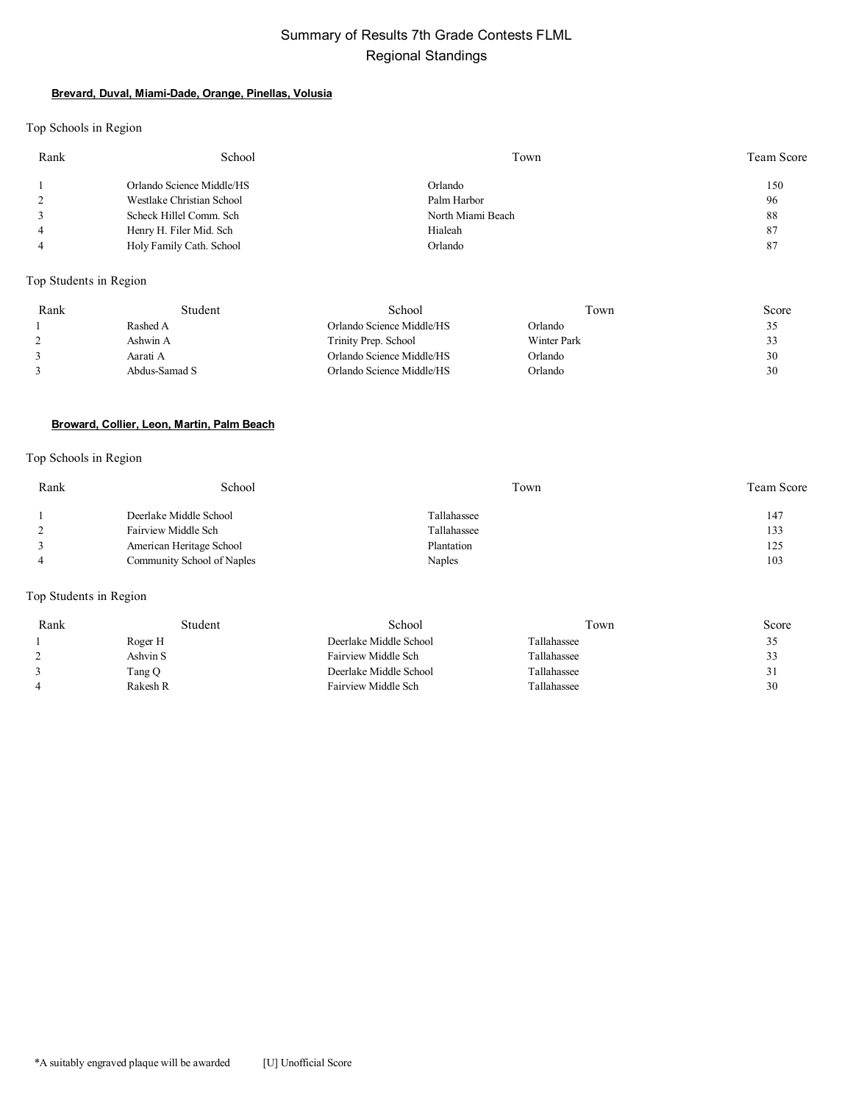# Summary of Results 7th Grade Contests FLML Regional Standings

#### **Brevard, Duval, Miami-Dade, Orange, Pinellas, Volusia**

Top Schools in Region

| Rank | School                    | Town              | Team Score |
|------|---------------------------|-------------------|------------|
|      | Orlando Science Middle/HS | Orlando           | 150        |
|      | Westlake Christian School | Palm Harbor       | 96         |
|      | Scheck Hillel Comm. Sch   | North Miami Beach | 88         |
|      | Henry H. Filer Mid. Sch   | Hialeah           | 87         |
|      | Holy Family Cath. School  | Orlando           | 87         |

## Top Students in Region

| Rank | Student       | School                    | Town        | Score |
|------|---------------|---------------------------|-------------|-------|
|      | Rashed A      | Orlando Science Middle/HS | Orlando     | 35    |
|      | Ashwin A      | Trinity Prep. School      | Winter Park | 33    |
|      | Aarati A      | Orlando Science Middle/HS | Orlando     | 30    |
|      | Abdus-Samad S | Orlando Science Middle/HS | Orlando     | 30    |

#### **Broward, Collier, Leon, Martin, Palm Beach**

#### Top Schools in Region

| Rank | School                     | Town        | <b>Team Score</b> |
|------|----------------------------|-------------|-------------------|
|      | Deerlake Middle School     | Tallahassee | 147               |
|      | Fairview Middle Sch        | Tallahassee | 133               |
|      | American Heritage School   | Plantation  | 125               |
|      | Community School of Naples | Naples      | 103               |

## Top Students in Region

| Rank | Student  | School                 | Town        | Score |
|------|----------|------------------------|-------------|-------|
|      | Roger H  | Deerlake Middle School | Tallahassee | 35    |
|      | Ashvin S | Fairview Middle Sch    | Tallahassee | 33    |
|      | Tang Q   | Deerlake Middle School | Tallahassee | 31    |
| 4    | Rakesh R | Fairview Middle Sch    | Tallahassee | 30    |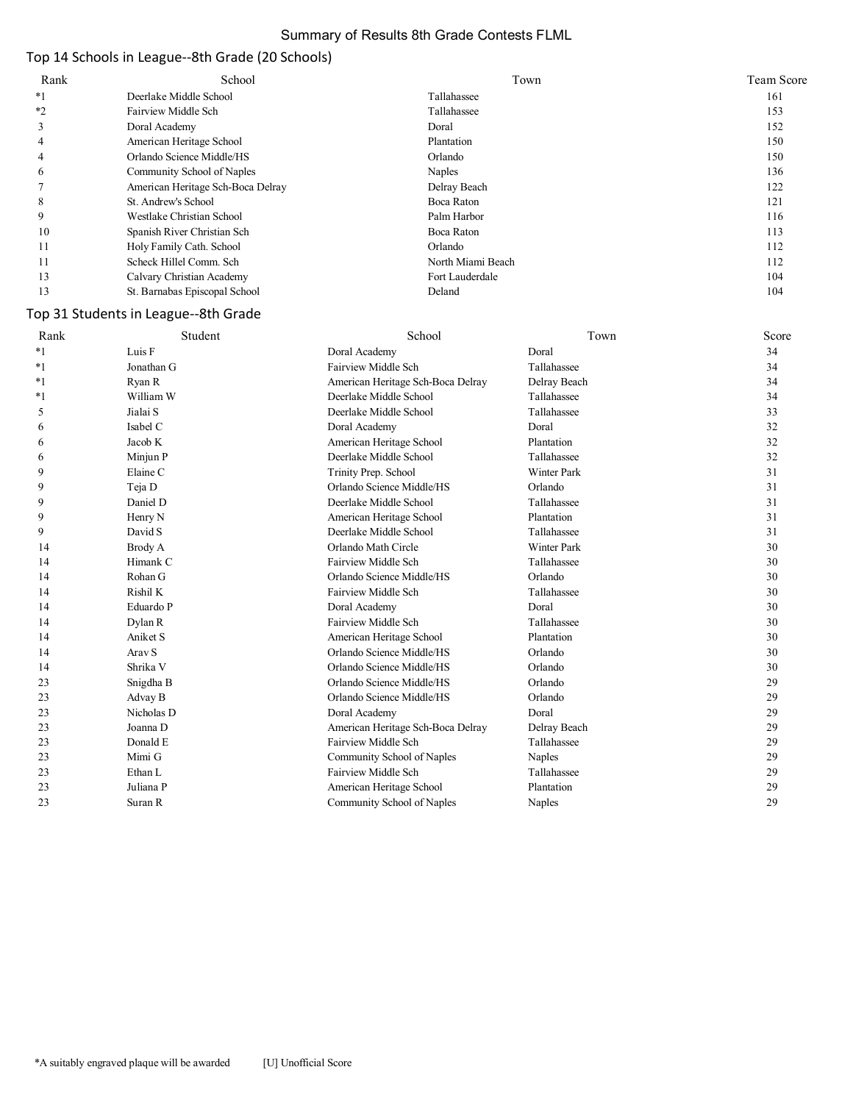## Summary of Results 8th Grade Contests FLML

# Top 14 Schools in League--8th Grade (20 Schools)

| Rank | School                            | Town              | <b>Team Score</b> |
|------|-----------------------------------|-------------------|-------------------|
| $*1$ | Deerlake Middle School            | Tallahassee       | 161               |
| $*2$ | Fairview Middle Sch               | Tallahassee       | 153               |
| J.   | Doral Academy                     | Doral             | 152               |
| 4    | American Heritage School          | Plantation        | 150               |
| 4    | Orlando Science Middle/HS         | Orlando           | 150               |
| 6    | Community School of Naples        | Naples            | 136               |
|      | American Heritage Sch-Boca Delray | Delray Beach      | 122               |
| 8    | St. Andrew's School               | Boca Raton        | 121               |
| 9    | Westlake Christian School         | Palm Harbor       | 116               |
| 10   | Spanish River Christian Sch       | Boca Raton        | 113               |
| 11   | Holy Family Cath. School          | Orlando           | 112               |
| 11   | Scheck Hillel Comm. Sch           | North Miami Beach | 112               |
| 13   | Calvary Christian Academy         | Fort Lauderdale   | 104               |
| 13   | St. Barnabas Episcopal School     | Deland            | 104               |

# Top 31 Students in League--8th Grade

| Rank    | Student    | School                            | Town               | Score |
|---------|------------|-----------------------------------|--------------------|-------|
| $*1$    | Luis F     | Doral Academy                     | Doral              | 34    |
| $*_{1}$ | Jonathan G | Fairview Middle Sch               | Tallahassee        | 34    |
| $*_{1}$ | Ryan R     | American Heritage Sch-Boca Delray | Delray Beach       | 34    |
| $*1$    | William W  | Deerlake Middle School            | Tallahassee        | 34    |
| 5       | Jialai S   | Deerlake Middle School            | Tallahassee        | 33    |
| 6       | Isabel C   | Doral Academy                     | Doral              | 32    |
| 6       | Jacob K    | American Heritage School          | Plantation         | 32    |
| 6       | Minjun P   | Deerlake Middle School            | Tallahassee        | 32    |
| 9       | Elaine C   | Trinity Prep. School              | <b>Winter Park</b> | 31    |
| 9       | Teja D     | Orlando Science Middle/HS         | Orlando            | 31    |
| 9       | Daniel D   | Deerlake Middle School            | Tallahassee        | 31    |
| 9       | Henry N    | American Heritage School          | Plantation         | 31    |
| 9       | David S    | Deerlake Middle School            | Tallahassee        | 31    |
| 14      | Brody A    | Orlando Math Circle               | <b>Winter Park</b> | 30    |
| 14      | Himank C   | Fairview Middle Sch               | Tallahassee        | 30    |
| 14      | Rohan G    | Orlando Science Middle/HS         | Orlando            | 30    |
| 14      | Rishil K   | Fairview Middle Sch               | Tallahassee        | 30    |
| 14      | Eduardo P  | Doral Academy                     | Doral              | 30    |
| 14      | Dylan R    | Fairview Middle Sch               | Tallahassee        | 30    |
| 14      | Aniket S   | American Heritage School          | Plantation         | 30    |
| 14      | Arav S     | Orlando Science Middle/HS         | Orlando            | 30    |
| 14      | Shrika V   | Orlando Science Middle/HS         | Orlando            | 30    |
| 23      | Snigdha B  | Orlando Science Middle/HS         | Orlando            | 29    |
| 23      | Advay B    | Orlando Science Middle/HS         | Orlando            | 29    |
| 23      | Nicholas D | Doral Academy                     | Doral              | 29    |
| 23      | Joanna D   | American Heritage Sch-Boca Delray | Delray Beach       | 29    |
| 23      | Donald E   | Fairview Middle Sch               | Tallahassee        | 29    |
| 23      | Mimi G     | Community School of Naples        | Naples             | 29    |
| 23      | Ethan L    | Fairview Middle Sch               | Tallahassee        | 29    |
| 23      | Juliana P  | American Heritage School          | Plantation         | 29    |
| 23      | Suran R    | Community School of Naples        | Naples             | 29    |